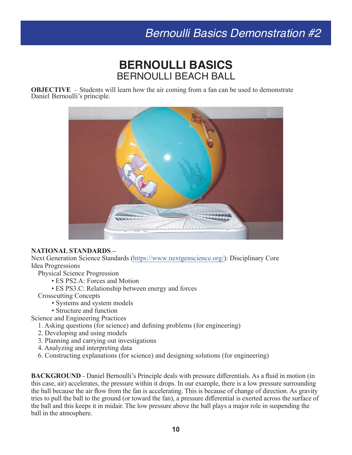# *Bernoulli Basics Demonstration #2*

## **BERNOULLI BASICS** BERNOULLI BEACH BALL

**OBJECTIVE** – Students will learn how the air coming from a fan can be used to demonstrate Daniel Bernoulli's principle.



#### **NATIONAL STANDARDS –**

Next Generation Science Standards [\(https://www.nextgenscience.org/](https://www.nextgenscience.org/)): Disciplinary Core Idea Progressions

- Physical Science Progression
	- ES PS2.A: Forces and Motion
	- ES PS3.C: Relationship between energy and forces
- Crosscutting Concepts
	- Systems and system models
	- Structure and function
- Science and Engineering Practices
	- 1. Asking questions (for science) and defining problems (for engineering)
	- 2. Developing and using models
	- 3. Planning and carrying out investigations
	- 4. Analyzing and interpreting data
	- 6. Constructing explanations (for science) and designing solutions (for engineering)

**BACKGROUND** - Daniel Bernoulli's Principle deals with pressure differentials. As a fluid in motion (in this case, air) accelerates, the pressure within it drops. In our example, there is a low pressure surrounding the ball because the air flow from the fan is accelerating. This is because of change of direction. As gravity tries to pull the ball to the ground (or toward the fan), a pressure differential is exerted across the surface of the ball and this keeps it in midair. The low pressure above the ball plays a major role in suspending the ball in the atmosphere.